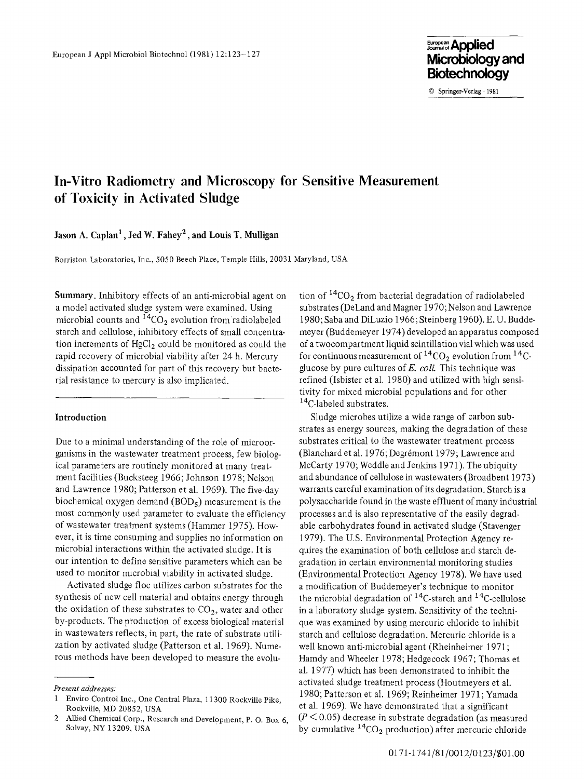9 Springer-Verlag. 1981

# **In-Vitro Radiometry and Microscopy for Sensitive Measurement of Toxicity in Activated Sludge**

## Jason A. Caplan<sup>1</sup>, Jed W. Fahey<sup>2</sup>, and Louis T. Mulligan

Borriston Laboratories, Inc., 5050 Beech Place, Temple Hills, 20031 Maryland, USA

Summary. Inhibitory effects of an anti-microbial agent on a model activated sludge system were examined. Using microbial counts and  ${}^{14}CO_2$  evolution from radiolabeled starch and cellulose, inhibitory effects of small concentration increments of  $HgCl<sub>2</sub>$  could be monitored as could the rapid recovery of microbial viability after 24 h. Mercury dissipation accounted for part of this recovery but bacterial resistance to mercury is also implicated.

#### **Introduction**

Due to a minimal understanding of the role of microorganisms in the wastewater treatment process, few biological parameters are routinely monitored at many treatment facilities (Bucksteeg 1966; Johnson 1978; Nelson and Lawrence 1980; Patterson et al. 1969). The five-day biochemical oxygen demand  $(BOD<sub>5</sub>)$  measurement is the most commonly used parameter to evaluate the efficiency of wastewater treatment systems (Hammer 1975). However, it is time consuming and supplies no information on microbial interactions within the activated sludge. It is our intention to define sensitive parameters which can be used to monitor microbial viability in activated sludge.

Activated sludge floc utilizes carbon substrates for the synthesis of new cell material and obtains energy through the oxidation of these substrates to  $CO<sub>2</sub>$ , water and other by-products. The production of excess biological material in wastewaters reflects, in part, the rate of substrate utilization by activated sludge (Patterson et al. 1969). Numerous methods have been developed to measure the evolution of  ${}^{14}CO_2$  from bacterial degradation of radiolabeled substrates (DeLand and Magner 1970; Nelson and Lawrence 1980; Saba and DiLuzio 1966; Steinberg 1960). E. U. Buddemeyer (Buddemeyer 1974) developed an apparatus composed of a twocompartment liquid scintillation vial which was used for continuous measurement of  ${}^{14}CO_2$  evolution from  ${}^{14}C$ glucose by pure cultures of E. *coll.* This technique was refined (Isbister et al. 1980) and utilized with high sensitivity for mixed microbial populations and for other <sup>14</sup>C-labeled substrates.

Sludge microbes utilize a wide range of carbon substrates as energy sources, making the degradation of these substrates critical to the wastewater treatment process (Blanchard et al. 1976; Degrémont 1979; Lawrence and McCarty 1970; Weddle and Jenkins 1971). The ubiquity and abundance of cellulose in wastewaters (Broadbent 1973) warrants careful examination of its degradation. Starch is a polysaccharide found in the waste effluent of many industrial processes and is also representative of the easily degradable carbohydrates found in activated sludge (Stavenger 1979). The U.S. Environmental Protection Agency requires the examination of both cellulose and starch degradation in certain environmental monitoring studies (Environmental Protection Agency 1978). We have used a modification of Buddemeyer's technique to monitor the microbial degradation of  $^{14}$ C-starch and  $^{14}$ C-cellulose in a laboratory sludge system. Sensitivity of the technique was examined by using mercuric chloride to inhibit starch and cellulose degradation. Mercuric chloride is a well known anti-microbial agent (Rheinheimer 1971 ; Hamdy and Wheeler 1978; Hedgecock 1967; Thomas et al. 1977) which has been demonstrated to inhibit the activated sludge treatment process (Houtmeyers et al. 1980; Patterson et al. 1969; Reinheimer 1971; Yamada et al. 1969). We have demonstrated that a significant  $(P<0.05)$  decrease in substrate degradation (as measured by cumulative  ${}^{14}CO_2$  production) after mercuric chloride

*Present addresses:* 

<sup>1</sup> Enviro Control Inc., One Central Plaza, 11300 Rockville Pike, Rockville, MD 20852, USA

<sup>2</sup> Allied Chemical Corp., Research and Development, P. O. Box 6, Solvay, NY 13209, USA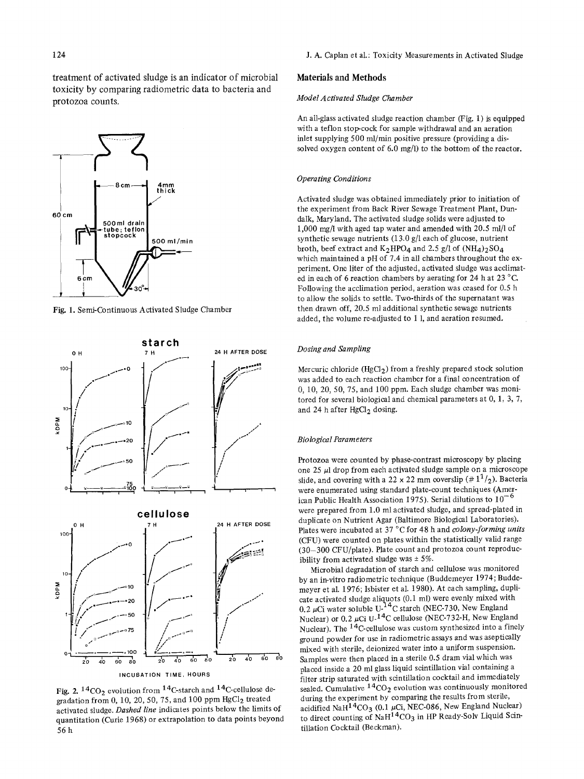treatment of activated sludge is an indicator of microbial toxicity by comparing radiometric data to bacteria and protozoa counts.



Fig. 1. Semi-Continuous Activated Sludge Chamber



Fig. 2.  $14CO_2$  evolution from  $14C$ -starch and  $14C$ -cellulose degradation from 0, 10, 20, 50, 75, and 100 ppm  $HgCl<sub>2</sub>$  treated activated sludge. *Dashed line* indicates points below the limits of quantitation (Curie 1968) or extrapolation to data points beyond 56h

#### Materials and **Methods**

#### *Model Activated Sludge Chamber*

An all-glass activated sludge reaction chamber (Fig. 1) is equipped with a teflon stop-cock for sample withdrawal and an aeration inlet supplying 500 ml/min positive pressure (providing a dissolved oxygen content of  $6.0 \text{ mg/l}$  to the bottom of the reactor.

#### *Operating Conditions*

Activated sludge was obtained immediately prior to initiation of the experiment from Back River Sewage Treatment Plant, Dundalk, Maryland. The activated sludge solids were adjusted to 1,000 mg/l with aged tap water and amended with 20.5 ml/l of synthetic sewage nutrients (13.0 g/1 each of glucose, nutrient broth, beef extract and  $K_2HPO_4$  and 2.5 g/l of  $(NH_4)_2SO_4$ which maintained a pH of 7.4 in all chambers throughout the experiment. One liter of the adjusted, activated sludge was acclimated in each of 6 reaction chambers by aerating for 24 h at 23  $^{\circ}$ C. Following the acclimation period, aeration was ceased for 0.5 h to allow the solids to settle. Two-thirds of the supernatant was then drawn off, 20.5 ml additional synthetic sewage nutrients added, the volume re-adjusted to 1 1, and aeration resumed.

#### *Dosing and Sampling*

Mercuric chloride (HgCl<sub>2</sub>) from a freshly prepared stock solution was added to each reaction chamber for a final concentration of 0, 10, 20, 50, 75, and 100 ppm. Each sludge chamber was monitored for several biological and chemical parameters at 0, 1, 3, 7, and 24 h after HgCl<sub>2</sub> dosing.

#### *Biological Parameters*

Protozoa were counted by phase-contrast microscopy by placing one 25 pl drop from each activated sludge sample on a microscope slide, and covering with a 22 x 22 mm coverslip  $(\# 1^1 /_2)$ . Bacteria were enumerated using standard plate-count techniques (American Public Health Association 1975). Serial dilutions to  $10^{-6}$ were prepared from 1.0 ml activated sludge, and spread-plated in duplicate on Nutrient Agar (Baltimore Biological Laboratories). Plates were incubated at 37 °C for 48 h and *colony-forming units* (CFU) were counted on plates within the statistically valid range (30-300 CFU/plate). Plate count and protozoa count reproducibility from activated sludge was  $\pm$  5%.

Microbial degradation of starch and cellulose was monitored by an in-vitro radio metric technique (Buddemeyer 1974; Buddemeyer et al. 1976; Isbister et al. 1980). At each sampling, duplicate activated sludge aliquots (0.1 ml) were evenly mixed with 0.2  $\mu$ Ci water soluble U-<sup>14</sup>C starch (NEC-730, New England Nuclear) or 0.2  $\mu$ Ci U-<sup>14</sup>C cellulose (NEC-732-H, New England Nuclear). The <sup>14</sup>C-cellulose was custom synthesized into a finely ground powder for use in radiometric assays and was aseptically mixed with sterile, deionized water into a uniform suspension. Samples were then placed in a sterile 0.5 dram vial which was placed inside a 20 ml glass liquid scintillation vial containing a filter strip saturated with scintillation cocktail and immediately sealed. Cumulative  ${}^{14}CO_2$  evolution was continuously monitored during the experiment by comparing the results from sterile, acidified NaH<sup>14</sup>CO<sub>3</sub> (0.1  $\mu$ Ci, NEC-086, New England Nuclear) to direct counting of NaH<sup>14</sup>CO<sub>3</sub> in HP Ready-Solv Liquid Scintillation Cocktail (Beckman).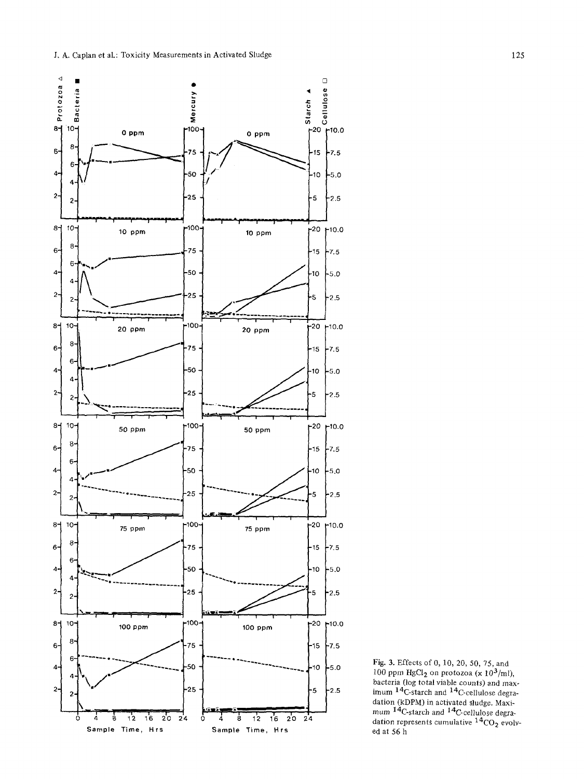

Fig. 3. Effects of 0, 10, 20, 50, 75, and<br>100 ppm HgCl<sub>2</sub> on protozoa (x 10<sup>3</sup>/ml),<br>bacteria (log total viable counts) and max-<br>imum <sup>14</sup>C-starch and <sup>14</sup>C-cellulose degradation (kDPM) in activated sludge. Maximum  $^{14}$ C-starch and  $^{14}$ C-cellulose degradation represents cumulative  $^{14}$ CO<sub>2</sub> evolved at 56 h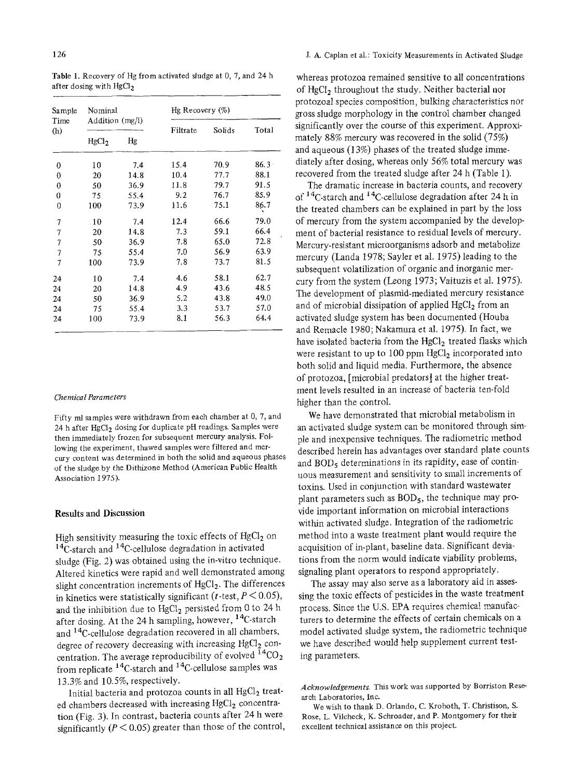| Sample<br>Time<br>(h)     | Nominal<br>Addition $(mg/l)$ |      | Hg Recovery $(\%)$ |        |          |
|---------------------------|------------------------------|------|--------------------|--------|----------|
|                           |                              |      | Filtrate           | Solids | Total    |
|                           | HgCl <sub>2</sub>            | Hg   |                    |        |          |
| 0                         | 10                           | 7.4  | 15.4               | 70.9   | $86.3 -$ |
| 0                         | 20                           | 14.8 | 10.4               | 77.7   | 88.1     |
| 0                         | 50                           | 36.9 | 11.8               | 79.7   | 91.5     |
| 0                         | 75                           | 55.4 | 9.2                | 76.7   | 85.9     |
| 0                         | 100                          | 73.9 | 11.6               | 75.1   | 86.7     |
| 7                         | .10                          | 7.4  | 12.4               | 66.6   | 79.0     |
| 7                         | 20                           | 14.8 | 7.3                | 59.1   | 66.4     |
| 7                         | 50                           | 36.9 | 7.8                | 65.0   | 72.8     |
| $\overline{\overline{1}}$ | 75                           | 55.4 | 7.0                | 56.9   | 63.9     |
| 7                         | 100                          | 73.9 | 7.8                | 73.7   | 81.5     |
| 24                        | 10                           | 7.4  | 4.6                | 58.1   | 62.7     |
| 24                        | 20                           | 14.8 | 4.9                | 43.6   | 48.5     |
| 24                        | 50                           | 36.9 | 5.2                | 43.8   | 49.0     |
| 24                        | 75                           | 55.4 | 3.3                | 53.7   | 57.0     |
| 24                        | 100                          | 73.9 | $8.1\,$            | 56.3   | 64.4     |
|                           |                              |      |                    |        |          |

Table 1. Recovery of Hg from activated sludge at 0, 7, and 24 h after dosing with  $HgCl<sub>2</sub>$ 

#### *Chemical Parameters*

Fifty ml samples were withdrawn from each chamber at 0, 7, and 24 h after HgCl<sub>2</sub> dosing for duplicate pH readings. Samples were then immediately frozen for subsequent mercury analysis. Following the experiment, thawed samples were filtered and mercury content was determined in both the solid and aqueous phases of the sludge by the Dithizone Method (American Public Health Association 1975).

### Results and Discussion

High sensitivity measuring the toxic effects of  $HgCl<sub>2</sub>$  on  $14C$ -starch and  $14C$ -cellulose degradation in activated sludge (Fig. 2) was obtained using the in-vitro technique. Altered kinetics were rapid and well demonstrated among slight concentration increments of  $HgCl<sub>2</sub>$ . The differences in kinetics were statistically significant (t-test,  $P < 0.05$ ), and the inhibition due to  $HgCl<sub>2</sub>$  persisted from 0 to 24 h after dosing. At the 24 h sampling, however, <sup>14</sup>C-starch and 14C-cellulose degradation recovered in all chambers, degree of recovery decreasing with increasing  $HgCl<sub>2</sub>$  concentration. The average reproducibility of evolved  ${}^{14}CO_2$ from replicate 14C-starch and 14C-cellulose samples was 13.3% and 10.5%, respectively.

Initial bacteria and protozoa counts in all  $HgCl<sub>2</sub>$  treated chambers decreased with increasing HgCl<sub>2</sub> concentration (Fig. 3). In contrast, bacteria counts after 24 h were significantly ( $P < 0.05$ ) greater than those of the control,

whereas protozoa remained sensitive to all concentrations of HgCl<sub>2</sub> throughout the study. Neither bacterial nor protozoal species composition, bulking characteristics nor gross sludge morphology in the control chamber changed significantly over the course of this experiment. Approximately 88% mercury was recovered in the solid (75%) and aqueous (13%) phases of the treated sludge immediately after dosing, whereas only 56% total mercury was recovered from the treated sludge after 24 h (Table 1).

The dramatic increase in bacteria counts, and recovery of 14C-starch and 14C-cellulose degradation after 24 h in the treated chambers can be explained in part by the loss of mercury from the system accompanied by the development of bacterial resistance to residual levels of mercury. Mercury-resistant microorganisms adsorb and metabolize mercury (Landa 1978; Sayler et al. 1975) leading to the subsequent volatilization of organic and inorganic mercury from the system (Leong 1973; Vaituzis et al. 1975). The development of plasmid-mediated mercury resistance and of microbial dissipation of applied  $HgCl<sub>2</sub>$  from an activated sludge system has been documented (Houba and Remacle 1980; Nakamura et al. 1975). In fact, we have isolated bacteria from the HgCl<sub>2</sub> treated flasks which were resistant to up to 100 ppm  $HgCl<sub>2</sub>$  incorporated into both solid and liquid media. Furthermore, the absence of protozoa, [microbial predators] at the higher treatment levels resulted in an increase of bacteria ten-fold higher than the control.

We have demonstrated that microbial metabolism in an activated sludge system can be monitored through simple and inexpensive techniques. The radiometric method described herein has advantages over standard plate counts and  $BOD<sub>5</sub>$  determinations in its rapidity, ease of continuous measurement and sensitivity to small increments of toxins. Used in conjunction with standard wastewater plant parameters such as  $BOD<sub>5</sub>$ , the technique may provide important information on microbial interactions within activated sludge. Integration of the radiometric method into a waste treatment plant would require the acquisition of in-plant, baseline data. Significant deviations from the norm would indicate viability problems, signaling plant operators to respond appropriately.

The assay may also serve as a laboratory aid in assessing the toxic effects of pesticides in the waste treatment process. Since the U.S. EPA requires chemical manufacturers to determine the effects of certain chemicals on a model activated sludge system, the radiometric technique we have described would help supplement current testing parameters.

*Acknowledgements.* This work was supported by Borriston Research Laboratories, Inc.

We wish to thank D. Orlando, C. Kroboth, T. Christison, S. Rose, L. Vilcheck, K. Schroader, and P. Montgomery for their excellent technical assistance on this project.